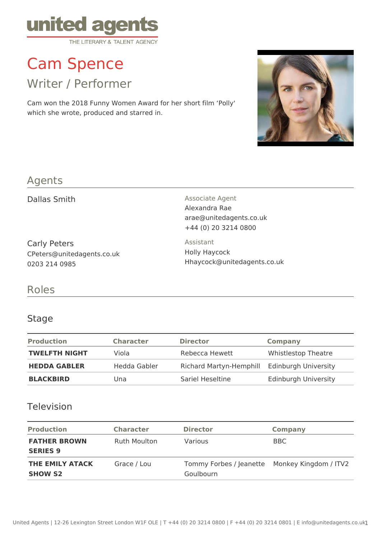

# Cam Spence

Writer / Performer

Cam won the 2018 Funny Women Award for her short film 'Polly' which she wrote, produced and starred in.



# Agents

Carly Peters CPeters@unitedagents.co.uk 0203 214 0985

Dallas Smith **Associate Agent** Associate Agent Alexandra Rae arae@unitedagents.co.uk +44 (0) 20 3214 0800

> Assistant Holly Haycock Hhaycock@unitedagents.co.uk

## Roles

#### Stage

| <b>Production</b>    | <b>Character</b> | <b>Director</b>                              | Company                     |
|----------------------|------------------|----------------------------------------------|-----------------------------|
| <b>TWELFTH NIGHT</b> | Viola            | Rebecca Hewett                               | <b>Whistlestop Theatre</b>  |
| <b>HEDDA GABLER</b>  | Hedda Gabler     | Richard Martyn-Hemphill Edinburgh University |                             |
| <b>BLACKBIRD</b>     | Una              | Sariel Heseltine                             | <b>Edinburgh University</b> |

### Television

| <b>Production</b>                      | <b>Character</b>    | <b>Director</b>                                            | <b>Company</b> |
|----------------------------------------|---------------------|------------------------------------------------------------|----------------|
| <b>FATHER BROWN</b><br><b>SERIES 9</b> | <b>Ruth Moulton</b> | <b>Various</b>                                             | BBC            |
| THE EMILY ATACK<br><b>SHOW S2</b>      | Grace / Lou         | Tommy Forbes / Jeanette Monkey Kingdom / ITV2<br>Goulbourn |                |